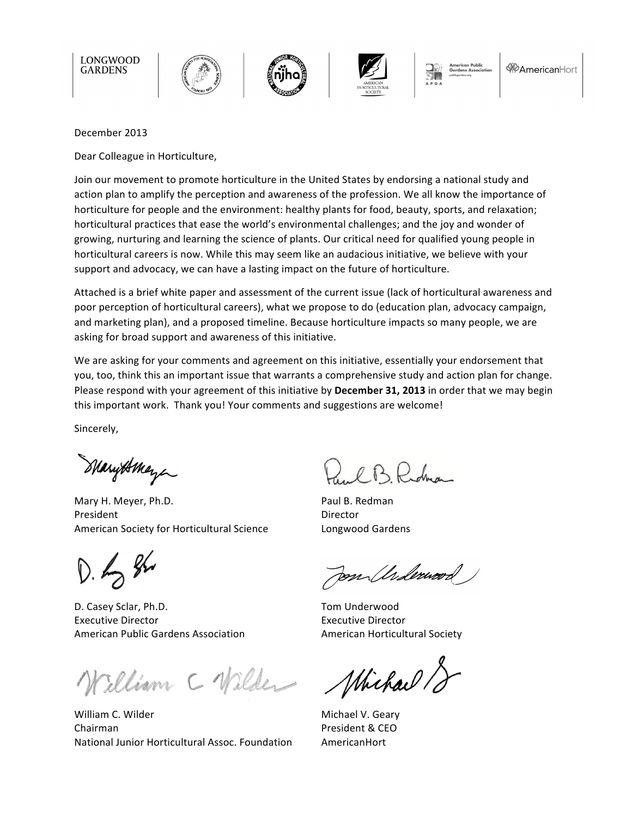

#### December 2013

Dear Colleague in Horticulture,

Join our movement to promote horticulture in the United States by endorsing a national study and action plan to amplify the perception and awareness of the profession. We all know the importance of horticulture for people and the environment: healthy plants for food, beauty, sports, and relaxation; horticultural practices that ease the world's environmental challenges; and the joy and wonder of growing, nurturing and learning the science of plants. Our critical need for qualified young people in horticultural careers is now. While this may seem like an audacious initiative, we believe with your support and advocacy, we can have a lasting impact on the future of horticulture.

Attached is a brief white paper and assessment of the current issue (lack of horticultural awareness and poor perception of horticultural careers), what we propose to do (education plan, advocacy campaign, and marketing plan), and a proposed timeline. Because horticulture impacts so many people, we are asking for broad support and awareness of this initiative.

We are asking for your comments and agreement on this initiative, essentially your endorsement that you, too, think this an important issue that warrants a comprehensive study and action plan for change. Please respond with your agreement of this initiative by December 31, 2013 in order that we may begin this important work. Thank you! Your comments and suggestions are welcome!

Sincerely, 

Marytomeye

Mary H. Meyer, Ph.D. President American Society for Horticultural Science

 $D.48$ 

D. Casey Sclar, Ph.D. Executive Director American Public Gardens Association

William C Wilder

William C. Wilder Chairman National Junior Horticultural Assoc. Foundation

B Rodra

Paul B. Redman Director Longwood Gardens

m Anderwood

Tom Underwood Executive Director American Horticultural Society

Whichard 18

Michael V. Geary President & CEO AmericanHort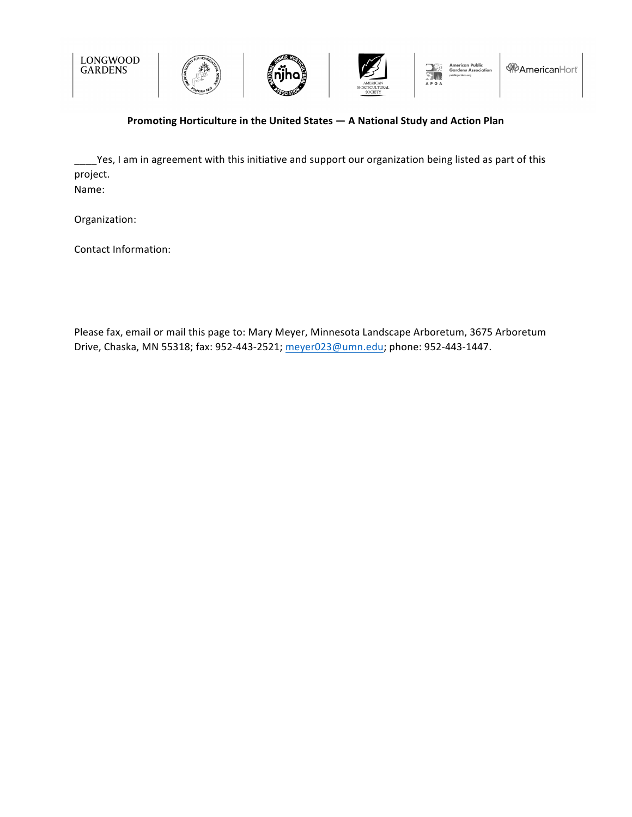

# **Promoting Horticulture in the United States — A National Study and Action Plan**

Yes, I am in agreement with this initiative and support our organization being listed as part of this project. Name: 

Organization: 

Contact Information:

Please fax, email or mail this page to: Mary Meyer, Minnesota Landscape Arboretum, 3675 Arboretum Drive, Chaska, MN 55318; fax: 952-443-2521; meyer023@umn.edu; phone: 952-443-1447.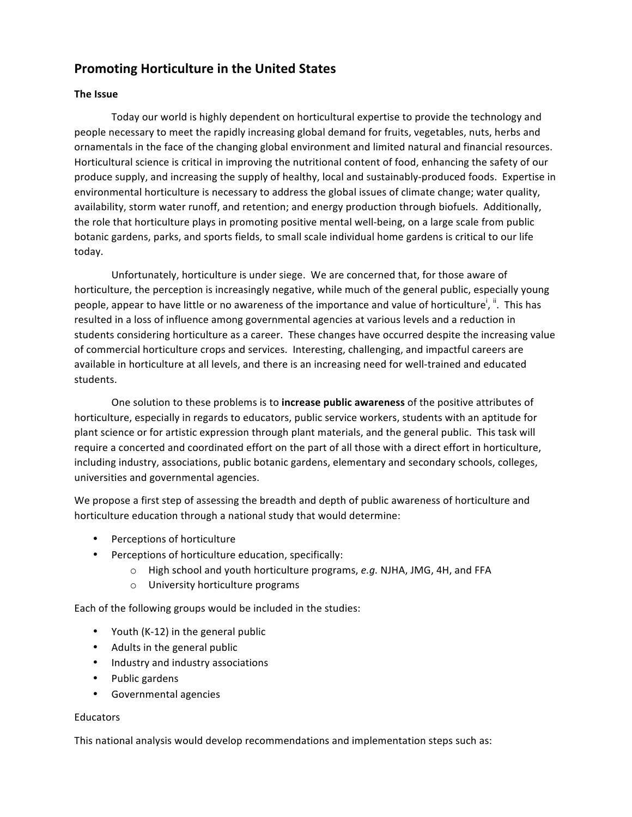# **Promoting Horticulture in the United States**

## **The Issue**

Today our world is highly dependent on horticultural expertise to provide the technology and people necessary to meet the rapidly increasing global demand for fruits, vegetables, nuts, herbs and ornamentals in the face of the changing global environment and limited natural and financial resources. Horticultural science is critical in improving the nutritional content of food, enhancing the safety of our produce supply, and increasing the supply of healthy, local and sustainably-produced foods. Expertise in environmental horticulture is necessary to address the global issues of climate change; water quality, availability, storm water runoff, and retention; and energy production through biofuels. Additionally, the role that horticulture plays in promoting positive mental well-being, on a large scale from public botanic gardens, parks, and sports fields, to small scale individual home gardens is critical to our life today. 

Unfortunately, horticulture is under siege. We are concerned that, for those aware of horticulture, the perception is increasingly negative, while much of the general public, especially young people, appear to have little or no awareness of the importance and value of horticulture<sup>i, ii</sup>. This has resulted in a loss of influence among governmental agencies at various levels and a reduction in students considering horticulture as a career. These changes have occurred despite the increasing value of commercial horticulture crops and services. Interesting, challenging, and impactful careers are available in horticulture at all levels, and there is an increasing need for well-trained and educated students.

One solution to these problems is to increase public awareness of the positive attributes of horticulture, especially in regards to educators, public service workers, students with an aptitude for plant science or for artistic expression through plant materials, and the general public. This task will require a concerted and coordinated effort on the part of all those with a direct effort in horticulture, including industry, associations, public botanic gardens, elementary and secondary schools, colleges, universities and governmental agencies.

We propose a first step of assessing the breadth and depth of public awareness of horticulture and horticulture education through a national study that would determine:

- Perceptions of horticulture
- Perceptions of horticulture education, specifically:
	- o High school and youth horticulture programs, e.g. NJHA, JMG, 4H, and FFA
	- $\circ$  University horticulture programs

Each of the following groups would be included in the studies:

- Youth  $(K-12)$  in the general public
- Adults in the general public
- Industry and industry associations
- Public gardens
- Governmental agencies

### Educators

This national analysis would develop recommendations and implementation steps such as: